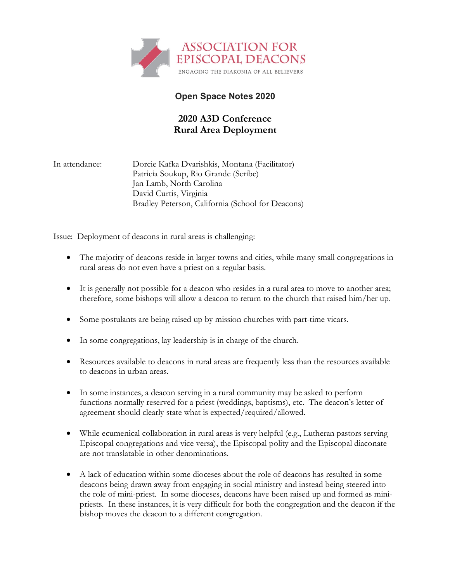

# **Open Space Notes 2020**

# **2020 A3D Conference Rural Area Deployment**

In attendance: Dorcie Kafka Dvarishkis, Montana (Facilitator) Patricia Soukup, Rio Grande (Scribe) Jan Lamb, North Carolina David Curtis, Virginia Bradley Peterson, California (School for Deacons)

## Issue: Deployment of deacons in rural areas is challenging:

- The majority of deacons reside in larger towns and cities, while many small congregations in rural areas do not even have a priest on a regular basis.
- It is generally not possible for a deacon who resides in a rural area to move to another area; therefore, some bishops will allow a deacon to return to the church that raised him/her up.
- Some postulants are being raised up by mission churches with part-time vicars.
- In some congregations, lay leadership is in charge of the church.
- Resources available to deacons in rural areas are frequently less than the resources available to deacons in urban areas.
- In some instances, a deacon serving in a rural community may be asked to perform functions normally reserved for a priest (weddings, baptisms), etc. The deacon's letter of agreement should clearly state what is expected/required/allowed.
- While ecumenical collaboration in rural areas is very helpful (e.g., Lutheran pastors serving Episcopal congregations and vice versa), the Episcopal polity and the Episcopal diaconate are not translatable in other denominations.
- A lack of education within some dioceses about the role of deacons has resulted in some deacons being drawn away from engaging in social ministry and instead being steered into the role of mini-priest. In some dioceses, deacons have been raised up and formed as minipriests. In these instances, it is very difficult for both the congregation and the deacon if the bishop moves the deacon to a different congregation.